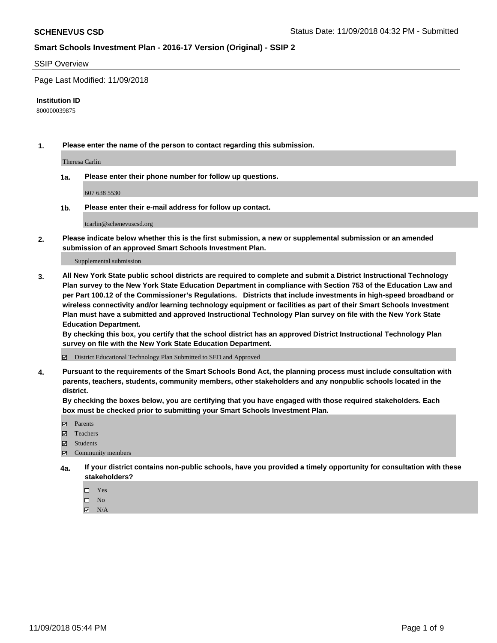### SSIP Overview

Page Last Modified: 11/09/2018

#### **Institution ID**

800000039875

**1. Please enter the name of the person to contact regarding this submission.**

Theresa Carlin

**1a. Please enter their phone number for follow up questions.**

607 638 5530

**1b. Please enter their e-mail address for follow up contact.**

tcarlin@schenevuscsd.org

**2. Please indicate below whether this is the first submission, a new or supplemental submission or an amended submission of an approved Smart Schools Investment Plan.**

Supplemental submission

**3. All New York State public school districts are required to complete and submit a District Instructional Technology Plan survey to the New York State Education Department in compliance with Section 753 of the Education Law and per Part 100.12 of the Commissioner's Regulations. Districts that include investments in high-speed broadband or wireless connectivity and/or learning technology equipment or facilities as part of their Smart Schools Investment Plan must have a submitted and approved Instructional Technology Plan survey on file with the New York State Education Department.** 

**By checking this box, you certify that the school district has an approved District Instructional Technology Plan survey on file with the New York State Education Department.**

District Educational Technology Plan Submitted to SED and Approved

**4. Pursuant to the requirements of the Smart Schools Bond Act, the planning process must include consultation with parents, teachers, students, community members, other stakeholders and any nonpublic schools located in the district.** 

**By checking the boxes below, you are certifying that you have engaged with those required stakeholders. Each box must be checked prior to submitting your Smart Schools Investment Plan.**

- **□** Parents
- Teachers
- Students
- $\boxtimes$  Community members
- **4a. If your district contains non-public schools, have you provided a timely opportunity for consultation with these stakeholders?**
	- $\Box$  Yes
	- $\qquad \qquad$  No
	- $\blacksquare$  N/A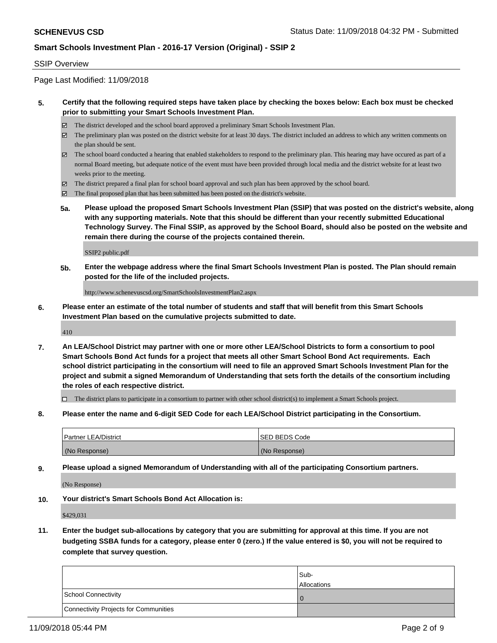## SSIP Overview

Page Last Modified: 11/09/2018

## **5. Certify that the following required steps have taken place by checking the boxes below: Each box must be checked prior to submitting your Smart Schools Investment Plan.**

- The district developed and the school board approved a preliminary Smart Schools Investment Plan.
- $\boxtimes$  The preliminary plan was posted on the district website for at least 30 days. The district included an address to which any written comments on the plan should be sent.
- $\boxtimes$  The school board conducted a hearing that enabled stakeholders to respond to the preliminary plan. This hearing may have occured as part of a normal Board meeting, but adequate notice of the event must have been provided through local media and the district website for at least two weeks prior to the meeting.
- The district prepared a final plan for school board approval and such plan has been approved by the school board.
- $\boxtimes$  The final proposed plan that has been submitted has been posted on the district's website.
- **5a. Please upload the proposed Smart Schools Investment Plan (SSIP) that was posted on the district's website, along with any supporting materials. Note that this should be different than your recently submitted Educational Technology Survey. The Final SSIP, as approved by the School Board, should also be posted on the website and remain there during the course of the projects contained therein.**

SSIP2 public.pdf

**5b. Enter the webpage address where the final Smart Schools Investment Plan is posted. The Plan should remain posted for the life of the included projects.**

http://www.schenevuscsd.org/SmartSchoolsInvestmentPlan2.aspx

**6. Please enter an estimate of the total number of students and staff that will benefit from this Smart Schools Investment Plan based on the cumulative projects submitted to date.**

410

**7. An LEA/School District may partner with one or more other LEA/School Districts to form a consortium to pool Smart Schools Bond Act funds for a project that meets all other Smart School Bond Act requirements. Each school district participating in the consortium will need to file an approved Smart Schools Investment Plan for the project and submit a signed Memorandum of Understanding that sets forth the details of the consortium including the roles of each respective district.**

 $\Box$  The district plans to participate in a consortium to partner with other school district(s) to implement a Smart Schools project.

**8. Please enter the name and 6-digit SED Code for each LEA/School District participating in the Consortium.**

| <b>Partner LEA/District</b> | ISED BEDS Code |
|-----------------------------|----------------|
| (No Response)               | (No Response)  |

**9. Please upload a signed Memorandum of Understanding with all of the participating Consortium partners.**

(No Response)

**10. Your district's Smart Schools Bond Act Allocation is:**

\$429,031

**11. Enter the budget sub-allocations by category that you are submitting for approval at this time. If you are not budgeting SSBA funds for a category, please enter 0 (zero.) If the value entered is \$0, you will not be required to complete that survey question.**

|                                              | Sub-               |
|----------------------------------------------|--------------------|
|                                              | <b>Allocations</b> |
| <b>School Connectivity</b>                   |                    |
| <b>Connectivity Projects for Communities</b> |                    |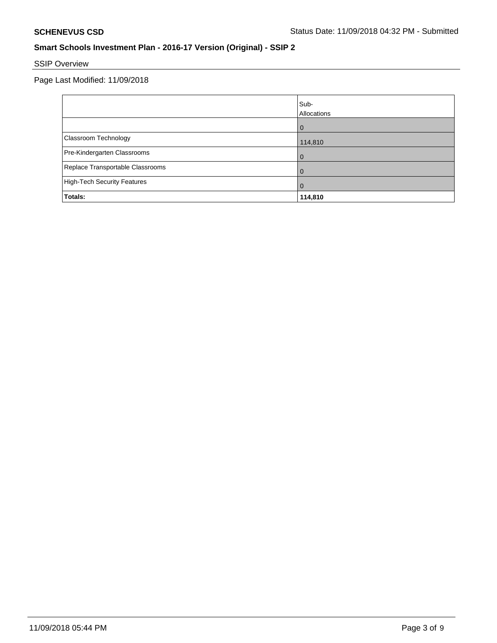# SSIP Overview

Page Last Modified: 11/09/2018

|                                    | Sub-<br>Allocations |
|------------------------------------|---------------------|
|                                    |                     |
| Classroom Technology               | 114,810             |
| Pre-Kindergarten Classrooms        |                     |
| Replace Transportable Classrooms   |                     |
| <b>High-Tech Security Features</b> | O                   |
| Totals:                            | 114,810             |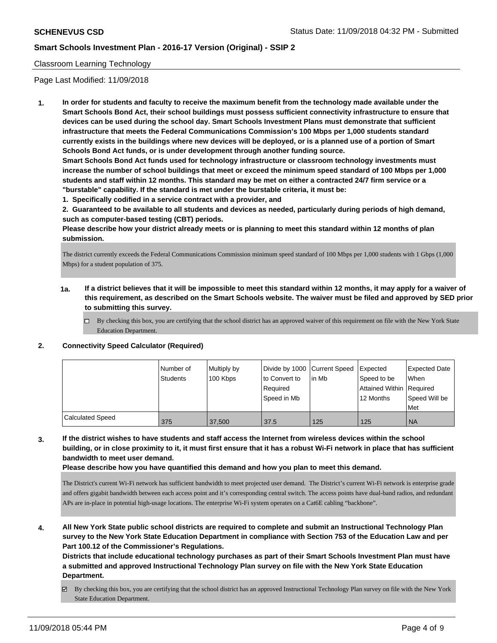## Classroom Learning Technology

Page Last Modified: 11/09/2018

**1. In order for students and faculty to receive the maximum benefit from the technology made available under the Smart Schools Bond Act, their school buildings must possess sufficient connectivity infrastructure to ensure that devices can be used during the school day. Smart Schools Investment Plans must demonstrate that sufficient infrastructure that meets the Federal Communications Commission's 100 Mbps per 1,000 students standard currently exists in the buildings where new devices will be deployed, or is a planned use of a portion of Smart Schools Bond Act funds, or is under development through another funding source.**

**Smart Schools Bond Act funds used for technology infrastructure or classroom technology investments must increase the number of school buildings that meet or exceed the minimum speed standard of 100 Mbps per 1,000 students and staff within 12 months. This standard may be met on either a contracted 24/7 firm service or a "burstable" capability. If the standard is met under the burstable criteria, it must be:**

**1. Specifically codified in a service contract with a provider, and**

**2. Guaranteed to be available to all students and devices as needed, particularly during periods of high demand, such as computer-based testing (CBT) periods.**

**Please describe how your district already meets or is planning to meet this standard within 12 months of plan submission.**

The district currently exceeds the Federal Communications Commission minimum speed standard of 100 Mbps per 1,000 students with 1 Gbps (1,000 Mbps) for a student population of 375.

- **1a. If a district believes that it will be impossible to meet this standard within 12 months, it may apply for a waiver of this requirement, as described on the Smart Schools website. The waiver must be filed and approved by SED prior to submitting this survey.**
	- By checking this box, you are certifying that the school district has an approved waiver of this requirement on file with the New York State Education Department.

# **2. Connectivity Speed Calculator (Required)**

|                         | Number of<br>Students | Multiply by<br>100 Kbps | Divide by 1000 Current Speed<br>to Convert to<br>Required<br>Speed in Mb | lin Mb | Expected<br>Speed to be<br>Attained Within   Required<br>12 Months | <b>Expected Date</b><br>When<br>Speed Will be<br>Met |
|-------------------------|-----------------------|-------------------------|--------------------------------------------------------------------------|--------|--------------------------------------------------------------------|------------------------------------------------------|
| <b>Calculated Speed</b> | 375                   | 37,500                  | 37.5                                                                     | 125    | 125                                                                | <b>NA</b>                                            |

**3. If the district wishes to have students and staff access the Internet from wireless devices within the school building, or in close proximity to it, it must first ensure that it has a robust Wi-Fi network in place that has sufficient bandwidth to meet user demand.**

**Please describe how you have quantified this demand and how you plan to meet this demand.**

The District's current Wi-Fi network has sufficient bandwidth to meet projected user demand. The District's current Wi-Fi network is enterprise grade and offers gigabit bandwidth between each access point and it's corresponding central switch. The access points have dual-band radios, and redundant APs are in-place in potential high-usage locations. The enterprise Wi-Fi system operates on a Cat6E cabling "backbone".

**4. All New York State public school districts are required to complete and submit an Instructional Technology Plan survey to the New York State Education Department in compliance with Section 753 of the Education Law and per Part 100.12 of the Commissioner's Regulations.**

**Districts that include educational technology purchases as part of their Smart Schools Investment Plan must have a submitted and approved Instructional Technology Plan survey on file with the New York State Education Department.**

By checking this box, you are certifying that the school district has an approved Instructional Technology Plan survey on file with the New York State Education Department.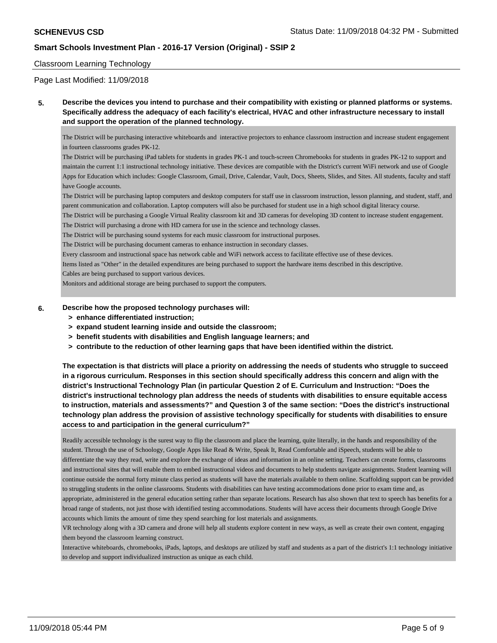### Classroom Learning Technology

Page Last Modified: 11/09/2018

**5. Describe the devices you intend to purchase and their compatibility with existing or planned platforms or systems. Specifically address the adequacy of each facility's electrical, HVAC and other infrastructure necessary to install and support the operation of the planned technology.**

The District will be purchasing interactive whiteboards and interactive projectors to enhance classroom instruction and increase student engagement in fourteen classrooms grades PK-12.

The District will be purchasing iPad tablets for students in grades PK-1 and touch-screen Chromebooks for students in grades PK-12 to support and maintain the current 1:1 instructional technology initiative. These devices are compatible with the District's current WiFi network and use of Google Apps for Education which includes: Google Classroom, Gmail, Drive, Calendar, Vault, Docs, Sheets, Slides, and Sites. All students, faculty and staff have Google accounts.

The District will be purchasing laptop computers and desktop computers for staff use in classroom instruction, lesson planning, and student, staff, and parent communication and collaboration. Laptop computers will also be purchased for student use in a high school digital literacy course.

The District will be purchasing a Google Virtual Reality classroom kit and 3D cameras for developing 3D content to increase student engagement.

The District will purchasing a drone with HD camera for use in the science and technology classes.

The District will be purchasing sound systems for each music classroom for instructional purposes.

The District will be purchasing document cameras to enhance instruction in secondary classes.

Every classroom and instructional space has network cable and WiFi network access to facilitate effective use of these devices.

Items listed as "Other" in the detailed expenditures are being purchased to support the hardware items described in this descriptive.

Cables are being purchased to support various devices.

Monitors and additional storage are being purchased to support the computers.

#### **6. Describe how the proposed technology purchases will:**

- **> enhance differentiated instruction;**
- **> expand student learning inside and outside the classroom;**
- **> benefit students with disabilities and English language learners; and**
- **> contribute to the reduction of other learning gaps that have been identified within the district.**

**The expectation is that districts will place a priority on addressing the needs of students who struggle to succeed in a rigorous curriculum. Responses in this section should specifically address this concern and align with the district's Instructional Technology Plan (in particular Question 2 of E. Curriculum and Instruction: "Does the district's instructional technology plan address the needs of students with disabilities to ensure equitable access to instruction, materials and assessments?" and Question 3 of the same section: "Does the district's instructional technology plan address the provision of assistive technology specifically for students with disabilities to ensure access to and participation in the general curriculum?"**

Readily accessible technology is the surest way to flip the classroom and place the learning, quite literally, in the hands and responsibility of the student. Through the use of Schoology, Google Apps like Read & Write, Speak It, Read Comfortable and iSpeech, students will be able to differentiate the way they read, write and explore the exchange of ideas and information in an online setting. Teachers can create forms, classrooms and instructional sites that will enable them to embed instructional videos and documents to help students navigate assignments. Student learning will continue outside the normal forty minute class period as students will have the materials available to them online. Scaffolding support can be provided to struggling students in the online classrooms. Students with disabilities can have testing accommodations done prior to exam time and, as appropriate, administered in the general education setting rather than separate locations. Research has also shown that text to speech has benefits for a broad range of students, not just those with identified testing accommodations. Students will have access their documents through Google Drive accounts which limits the amount of time they spend searching for lost materials and assignments.

VR technology along with a 3D camera and drone will help all students explore content in new ways, as well as create their own content, engaging them beyond the classroom learning construct.

Interactive whiteboards, chromebooks, iPads, laptops, and desktops are utilized by staff and students as a part of the district's 1:1 technology initiative to develop and support individualized instruction as unique as each child.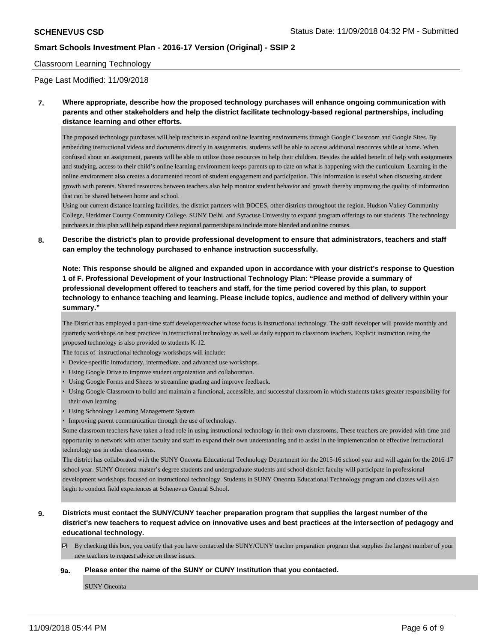### Classroom Learning Technology

### Page Last Modified: 11/09/2018

**7. Where appropriate, describe how the proposed technology purchases will enhance ongoing communication with parents and other stakeholders and help the district facilitate technology-based regional partnerships, including distance learning and other efforts.**

The proposed technology purchases will help teachers to expand online learning environments through Google Classroom and Google Sites. By embedding instructional videos and documents directly in assignments, students will be able to access additional resources while at home. When confused about an assignment, parents will be able to utilize those resources to help their children. Besides the added benefit of help with assignments and studying, access to their child's online learning environment keeps parents up to date on what is happening with the curriculum. Learning in the online environment also creates a documented record of student engagement and participation. This information is useful when discussing student growth with parents. Shared resources between teachers also help monitor student behavior and growth thereby improving the quality of information that can be shared between home and school.

Using our current distance learning facilities, the district partners with BOCES, other districts throughout the region, Hudson Valley Community College, Herkimer County Community College, SUNY Delhi, and Syracuse University to expand program offerings to our students. The technology purchases in this plan will help expand these regional partnerships to include more blended and online courses.

**8. Describe the district's plan to provide professional development to ensure that administrators, teachers and staff can employ the technology purchased to enhance instruction successfully.**

**Note: This response should be aligned and expanded upon in accordance with your district's response to Question 1 of F. Professional Development of your Instructional Technology Plan: "Please provide a summary of professional development offered to teachers and staff, for the time period covered by this plan, to support technology to enhance teaching and learning. Please include topics, audience and method of delivery within your summary."**

The District has employed a part-time staff developer/teacher whose focus is instructional technology. The staff developer will provide monthly and quarterly workshops on best practices in instructional technology as well as daily support to classroom teachers. Explicit instruction using the proposed technology is also provided to students K-12.

The focus of instructional technology workshops will include:

- Device-specific introductory, intermediate, and advanced use workshops.
- Using Google Drive to improve student organization and collaboration.
- Using Google Forms and Sheets to streamline grading and improve feedback.
- Using Google Classroom to build and maintain a functional, accessible, and successful classroom in which students takes greater responsibility for their own learning.
- Using Schoology Learning Management System
- Improving parent communication through the use of technology.

Some classroom teachers have taken a lead role in using instructional technology in their own classrooms. These teachers are provided with time and opportunity to network with other faculty and staff to expand their own understanding and to assist in the implementation of effective instructional technology use in other classrooms.

The district has collaborated with the SUNY Oneonta Educational Technology Department for the 2015-16 school year and will again for the 2016-17 school year. SUNY Oneonta master's degree students and undergraduate students and school district faculty will participate in professional development workshops focused on instructional technology. Students in SUNY Oneonta Educational Technology program and classes will also begin to conduct field experiences at Schenevus Central School.

**9. Districts must contact the SUNY/CUNY teacher preparation program that supplies the largest number of the district's new teachers to request advice on innovative uses and best practices at the intersection of pedagogy and educational technology.**

By checking this box, you certify that you have contacted the SUNY/CUNY teacher preparation program that supplies the largest number of your new teachers to request advice on these issues.

#### **9a. Please enter the name of the SUNY or CUNY Institution that you contacted.**

SUNY Oneonta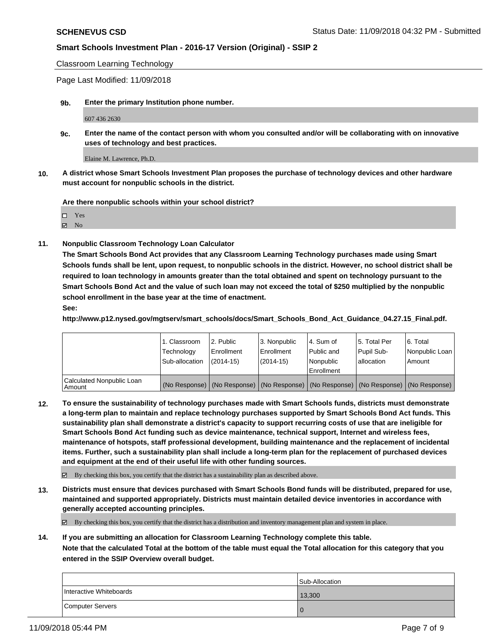Classroom Learning Technology

Page Last Modified: 11/09/2018

**9b. Enter the primary Institution phone number.**

607 436 2630

**9c. Enter the name of the contact person with whom you consulted and/or will be collaborating with on innovative uses of technology and best practices.**

Elaine M. Lawrence, Ph.D.

**10. A district whose Smart Schools Investment Plan proposes the purchase of technology devices and other hardware must account for nonpublic schools in the district.**

**Are there nonpublic schools within your school district?**

Yes

**Z** No

**11. Nonpublic Classroom Technology Loan Calculator**

**The Smart Schools Bond Act provides that any Classroom Learning Technology purchases made using Smart Schools funds shall be lent, upon request, to nonpublic schools in the district. However, no school district shall be required to loan technology in amounts greater than the total obtained and spent on technology pursuant to the Smart Schools Bond Act and the value of such loan may not exceed the total of \$250 multiplied by the nonpublic school enrollment in the base year at the time of enactment. See:**

**http://www.p12.nysed.gov/mgtserv/smart\_schools/docs/Smart\_Schools\_Bond\_Act\_Guidance\_04.27.15\_Final.pdf.**

|                                     | 1. Classroom<br>Technology | 2. Public<br>Enrollment | l 3. Nonpublic<br>l Enrollment | l 4. Sum of<br>Public and | 15. Total Per<br>Pupil Sub- | l 6. Total<br>Nonpublic Loan                                                                  |
|-------------------------------------|----------------------------|-------------------------|--------------------------------|---------------------------|-----------------------------|-----------------------------------------------------------------------------------------------|
|                                     | Sub-allocation             | $(2014-15)$             | $(2014 - 15)$                  | l Nonpublic<br>Enrollment | lallocation                 | Amount                                                                                        |
| Calculated Nonpublic Loan<br>Amount |                            |                         |                                |                           |                             | (No Response)   (No Response)   (No Response)   (No Response)   (No Response)   (No Response) |

**12. To ensure the sustainability of technology purchases made with Smart Schools funds, districts must demonstrate a long-term plan to maintain and replace technology purchases supported by Smart Schools Bond Act funds. This sustainability plan shall demonstrate a district's capacity to support recurring costs of use that are ineligible for Smart Schools Bond Act funding such as device maintenance, technical support, Internet and wireless fees, maintenance of hotspots, staff professional development, building maintenance and the replacement of incidental items. Further, such a sustainability plan shall include a long-term plan for the replacement of purchased devices and equipment at the end of their useful life with other funding sources.**

 $\boxtimes$  By checking this box, you certify that the district has a sustainability plan as described above.

**13. Districts must ensure that devices purchased with Smart Schools Bond funds will be distributed, prepared for use, maintained and supported appropriately. Districts must maintain detailed device inventories in accordance with generally accepted accounting principles.**

By checking this box, you certify that the district has a distribution and inventory management plan and system in place.

**14. If you are submitting an allocation for Classroom Learning Technology complete this table. Note that the calculated Total at the bottom of the table must equal the Total allocation for this category that you**

**entered in the SSIP Overview overall budget.**

|                         | <b>Sub-Allocation</b> |
|-------------------------|-----------------------|
| Interactive Whiteboards | 13,300                |
| Computer Servers        |                       |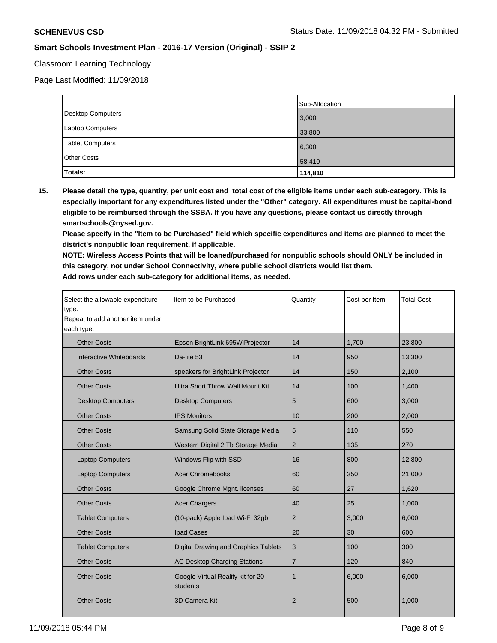## Classroom Learning Technology

Page Last Modified: 11/09/2018

|                          | Sub-Allocation |
|--------------------------|----------------|
| <b>Desktop Computers</b> | 3,000          |
| Laptop Computers         | 33,800         |
| Tablet Computers         | 6,300          |
| <b>Other Costs</b>       | 58,410         |
| Totals:                  | 114,810        |

**15. Please detail the type, quantity, per unit cost and total cost of the eligible items under each sub-category. This is especially important for any expenditures listed under the "Other" category. All expenditures must be capital-bond eligible to be reimbursed through the SSBA. If you have any questions, please contact us directly through smartschools@nysed.gov.**

**Please specify in the "Item to be Purchased" field which specific expenditures and items are planned to meet the district's nonpublic loan requirement, if applicable.**

**NOTE: Wireless Access Points that will be loaned/purchased for nonpublic schools should ONLY be included in this category, not under School Connectivity, where public school districts would list them. Add rows under each sub-category for additional items, as needed.**

| Select the allowable expenditure<br>type.<br>Repeat to add another item under<br>each type. | Item to be Purchased                          | Quantity       | Cost per Item | <b>Total Cost</b> |
|---------------------------------------------------------------------------------------------|-----------------------------------------------|----------------|---------------|-------------------|
| <b>Other Costs</b>                                                                          | Epson BrightLink 695WiProjector               | 14             | 1,700         | 23,800            |
| Interactive Whiteboards                                                                     | Da-lite 53                                    | 14             | 950           | 13,300            |
| <b>Other Costs</b>                                                                          | speakers for BrightLink Projector             | 14             | 150           | 2,100             |
| <b>Other Costs</b>                                                                          | <b>Ultra Short Throw Wall Mount Kit</b>       | 14             | 100           | 1,400             |
| <b>Desktop Computers</b>                                                                    | <b>Desktop Computers</b>                      | 5              | 600           | 3,000             |
| <b>Other Costs</b>                                                                          | <b>IPS Monitors</b>                           | 10             | 200           | 2,000             |
| <b>Other Costs</b>                                                                          | Samsung Solid State Storage Media             | 5              | 110           | 550               |
| <b>Other Costs</b>                                                                          | Western Digital 2 Tb Storage Media            | $\overline{2}$ | 135           | 270               |
| <b>Laptop Computers</b>                                                                     | Windows Flip with SSD                         | 16             | 800           | 12,800            |
| <b>Laptop Computers</b>                                                                     | <b>Acer Chromebooks</b>                       | 60             | 350           | 21,000            |
| <b>Other Costs</b>                                                                          | Google Chrome Mgnt. licenses                  | 60             | 27            | 1,620             |
| <b>Other Costs</b>                                                                          | <b>Acer Chargers</b>                          | 40             | 25            | 1,000             |
| <b>Tablet Computers</b>                                                                     | (10-pack) Apple Ipad Wi-Fi 32gb               | 2              | 3,000         | 6,000             |
| <b>Other Costs</b>                                                                          | Ipad Cases                                    | 20             | 30            | 600               |
| <b>Tablet Computers</b>                                                                     | Digital Drawing and Graphics Tablets          | 3              | 100           | 300               |
| <b>Other Costs</b>                                                                          | <b>AC Desktop Charging Stations</b>           | $\overline{7}$ | 120           | 840               |
| <b>Other Costs</b>                                                                          | Google Virtual Reality kit for 20<br>students | 1              | 6,000         | 6,000             |
| <b>Other Costs</b>                                                                          | <b>3D Camera Kit</b>                          | $\overline{2}$ | 500           | 1,000             |